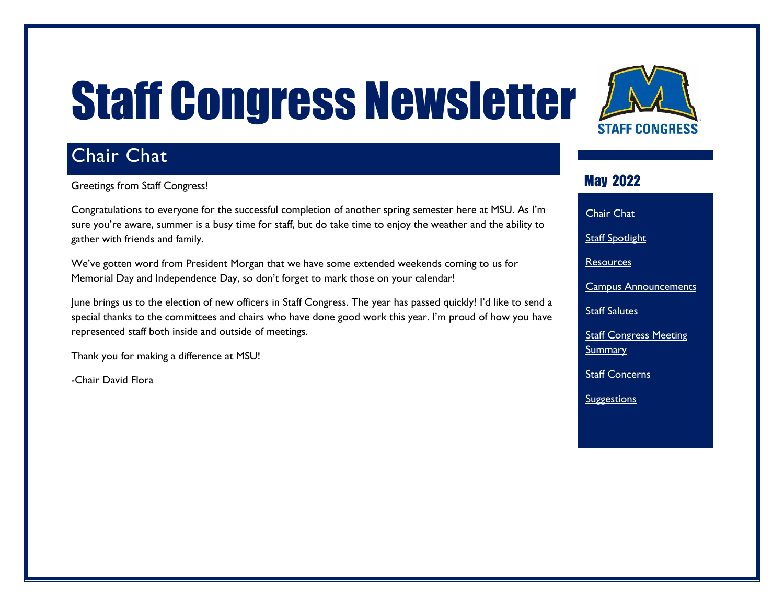# <span id="page-0-0"></span>Staff Congress Newsletter

## Chair Chat

Greetings from Staff Congress!

Congratulations to everyone for the successful completion of another spring semester here at MSU. As I'm sure you're aware, summer is a busy time for staff, but do take time to enjoy the weather and the ability to gather with friends and family.

We've gotten word from President Morgan that we have some extended weekends coming to us for Memorial Day and Independence Day, so don't forget to mark those on your calendar!

June brings us to the election of new officers in Staff Congress. The year has passed quickly! I'd like to send a special thanks to the committees and chairs who have done good work this year. I'm proud of how you have represented staff both inside and outside of meetings.

Thank you for making a difference at MSU!

-Chair David Flora



## May 2022

[Chair Chat](#page-0-0) **Staff [Spotlight](#page-1-0)** [Resources](#page-1-1) [Campus Announcements](#page-1-1) [Staff Salutes](#page-2-0) **Staff Congress Meeting [Summary](#page-4-0) [Staff Concerns](#page-5-0)** 

**[Suggestions](#page-6-0)**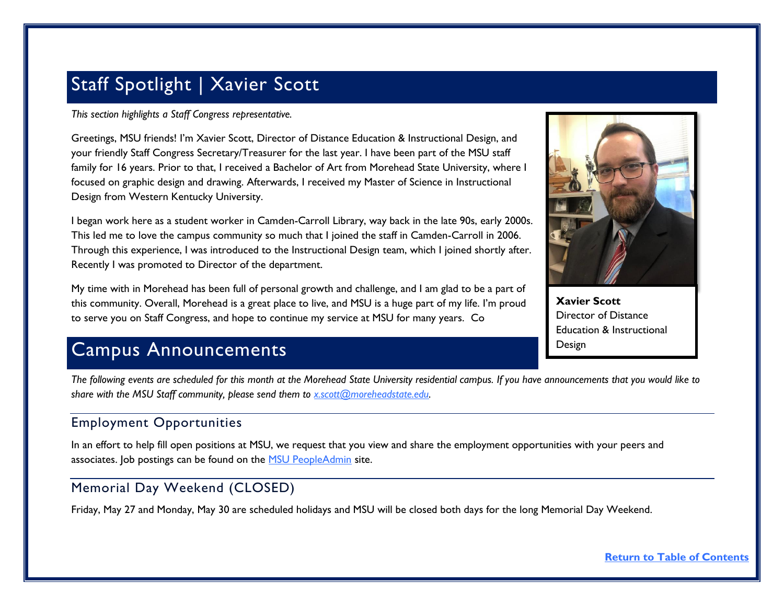## <span id="page-1-0"></span>Staff Spotlight | Xavier Scott

*This section highlights a Staff Congress representative.*

Greetings, MSU friends! I'm Xavier Scott, Director of Distance Education & Instructional Design, and your friendly Staff Congress Secretary/Treasurer for the last year. I have been part of the MSU staff family for 16 years. Prior to that, I received a Bachelor of Art from Morehead State University, where I focused on graphic design and drawing. Afterwards, I received my Master of Science in Instructional Design from Western Kentucky University.

I began work here as a student worker in Camden-Carroll Library, way back in the late 90s, early 2000s. This led me to love the campus community so much that I joined the staff in Camden-Carroll in 2006. Through this experience, I was introduced to the Instructional Design team, which I joined shortly after. Recently I was promoted to Director of the department.

My time with in Morehead has been full of personal growth and challenge, and I am glad to be a part of this community. Overall, Morehead is a great place to live, and MSU is a huge part of my life. I'm proud to serve you on Staff Congress, and hope to continue my service at MSU for many years. Co

## Campus Announcements

*The following events are scheduled for this month at the Morehead State University residential campus. If you have announcements that you would like to share with the MSU Staff community, please send them to [x.scott@moreheadstate.edu.](mailto:x.scott@moreheadstate.edu)* 

#### Employment Opportunities

In an effort to help fill open positions at MSU, we request that you view and share the employment opportunities with your peers and associates. Job postings can be found on the [MSU PeopleAdmin](https://moreheadstate.peopleadmin.com/) site.

#### Memorial Day Weekend (CLOSED)

Friday, May 27 and Monday, May 30 are scheduled holidays and MSU will be closed both days for the long Memorial Day Weekend.

<span id="page-1-1"></span>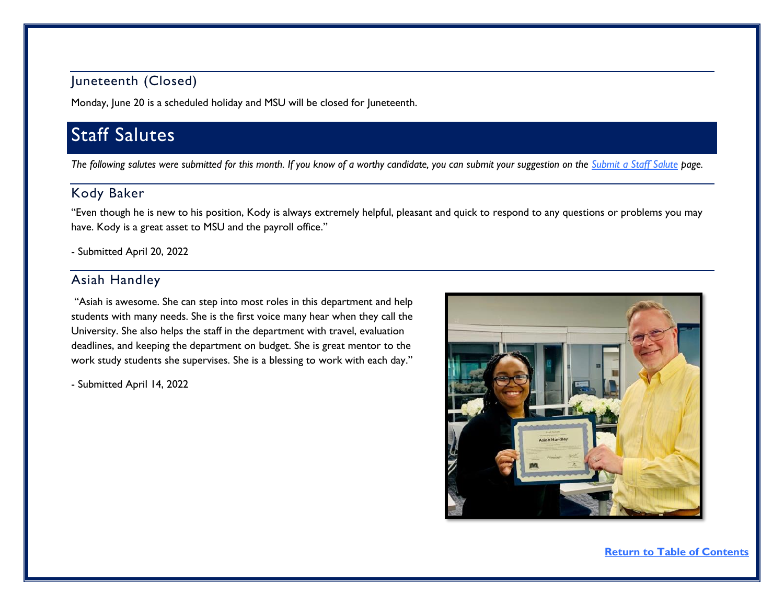### Juneteenth (Closed)

Monday, June 20 is a scheduled holiday and MSU will be closed for Juneteenth.

## <span id="page-2-0"></span>Staff Salutes

*The following salutes were submitted for this month. If you know of a worthy candidate, you can submit your suggestion on the [Submit a Staff Salute](https://www.moreheadstate.edu/Leadership/Staff-Congress/Submit-a-Staff-Salute) page.* 

#### Kody Baker

"Even though he is new to his position, Kody is always extremely helpful, pleasant and quick to respond to any questions or problems you may have. Kody is a great asset to MSU and the payroll office."

- Submitted April 20, 2022

#### Asiah Handley

"Asiah is awesome. She can step into most roles in this department and help students with many needs. She is the first voice many hear when they call the University. She also helps the staff in the department with travel, evaluation deadlines, and keeping the department on budget. She is great mentor to the work study students she supervises. She is a blessing to work with each day."

- Submitted April 14, 2022

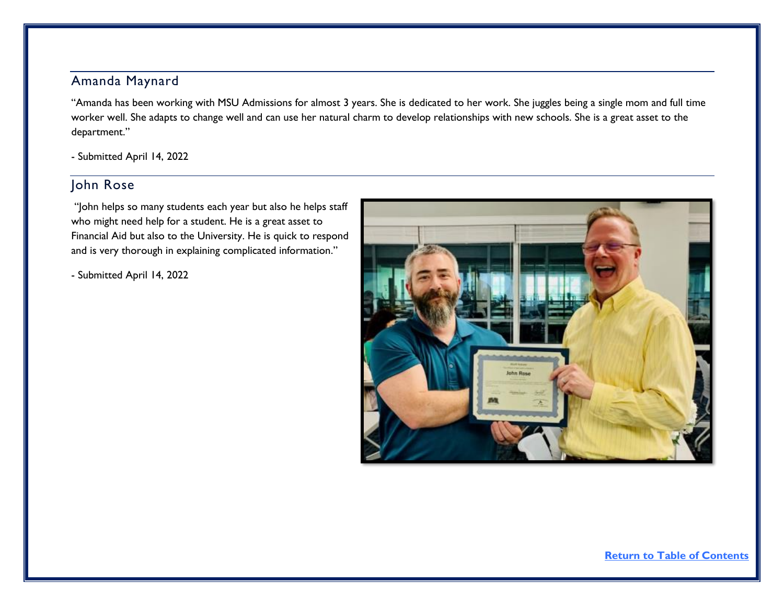#### Amanda Maynard

"Amanda has been working with MSU Admissions for almost 3 years. She is dedicated to her work. She juggles being a single mom and full time worker well. She adapts to change well and can use her natural charm to develop relationships with new schools. She is a great asset to the department."

- Submitted April 14, 2022

#### John Rose

"John helps so many students each year but also he helps staff who might need help for a student. He is a great asset to Financial Aid but also to the University. He is quick to respond and is very thorough in explaining complicated information."

- Submitted April 14, 2022

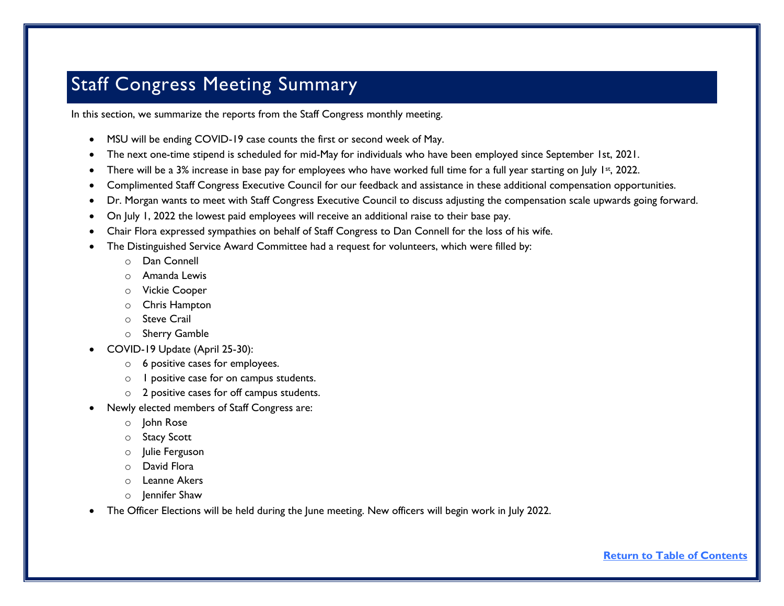## <span id="page-4-0"></span>Staff Congress Meeting Summary

In this section, we summarize the reports from the Staff Congress monthly meeting.

- MSU will be ending COVID-19 case counts the first or second week of May.
- The next one-time stipend is scheduled for mid-May for individuals who have been employed since September 1st, 2021.
- There will be a 3% increase in base pay for employees who have worked full time for a full year starting on July 1<sup>st</sup>, 2022.
- Complimented Staff Congress Executive Council for our feedback and assistance in these additional compensation opportunities.
- Dr. Morgan wants to meet with Staff Congress Executive Council to discuss adjusting the compensation scale upwards going forward.
- On July 1, 2022 the lowest paid employees will receive an additional raise to their base pay.
- Chair Flora expressed sympathies on behalf of Staff Congress to Dan Connell for the loss of his wife.
- The Distinguished Service Award Committee had a request for volunteers, which were filled by:
	- o Dan Connell
	- o Amanda Lewis
	- o Vickie Cooper
	- o Chris Hampton
	- o Steve Crail
	- o Sherry Gamble
- COVID-19 Update (April 25-30):
	- o 6 positive cases for employees.
	- o 1 positive case for on campus students.
	- o 2 positive cases for off campus students.
- Newly elected members of Staff Congress are:
	- o John Rose
	- o Stacy Scott
	- o Julie Ferguson
	- o David Flora
	- o Leanne Akers
	- o Jennifer Shaw
- The Officer Elections will be held during the June meeting. New officers will begin work in July 2022.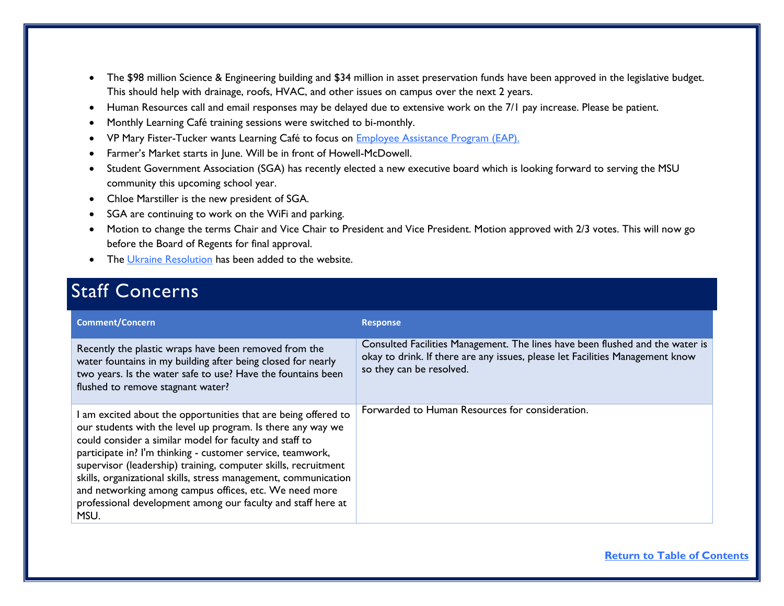- <span id="page-5-0"></span>• The \$98 million Science & Engineering building and \$34 million in asset preservation funds have been approved in the legislative budget. This should help with drainage, roofs, HVAC, and other issues on campus over the next 2 years.
- Human Resources call and email responses may be delayed due to extensive work on the 7/1 pay increase. Please be patient.
- Monthly Learning Café training sessions were switched to bi-monthly.
- VP Mary Fister-Tucker wants Learning Café to focus on [Employee Assistance Program \(EAP\).](https://www.moreheadstate.edu/administration/human-resources/msu-employees/employee-assistance-program)
- Farmer's Market starts in June. Will be in front of Howell-McDowell.
- Student Government Association (SGA) has recently elected a new executive board which is looking forward to serving the MSU community this upcoming school year.
- Chloe Marstiller is the new president of SGA.
- SGA are continuing to work on the WiFi and parking.
- Motion to change the terms Chair and Vice Chair to President and Vice President. Motion approved with 2/3 votes. This will now go before the Board of Regents for final approval.
- The [Ukraine Resolution](https://www.moreheadstate.edu/leadership/staff-congress/resolutions) has been added to the website.

## Concerns

| <b>Comment/Concern</b>                                                                                                                                                                                                                                                                                                                                                                                                                                                                                                        | <b>Response</b>                                                                                                                                                                            |
|-------------------------------------------------------------------------------------------------------------------------------------------------------------------------------------------------------------------------------------------------------------------------------------------------------------------------------------------------------------------------------------------------------------------------------------------------------------------------------------------------------------------------------|--------------------------------------------------------------------------------------------------------------------------------------------------------------------------------------------|
| Recently the plastic wraps have been removed from the<br>water fountains in my building after being closed for nearly<br>two years. Is the water safe to use? Have the fountains been<br>flushed to remove stagnant water?                                                                                                                                                                                                                                                                                                    | Consulted Facilities Management. The lines have been flushed and the water is<br>okay to drink. If there are any issues, please let Facilities Management know<br>so they can be resolved. |
| I am excited about the opportunities that are being offered to<br>our students with the level up program. Is there any way we<br>could consider a similar model for faculty and staff to<br>participate in? I'm thinking - customer service, teamwork,<br>supervisor (leadership) training, computer skills, recruitment<br>skills, organizational skills, stress management, communication<br>and networking among campus offices, etc. We need more<br>professional development among our faculty and staff here at<br>MSU. | Forwarded to Human Resources for consideration.                                                                                                                                            |